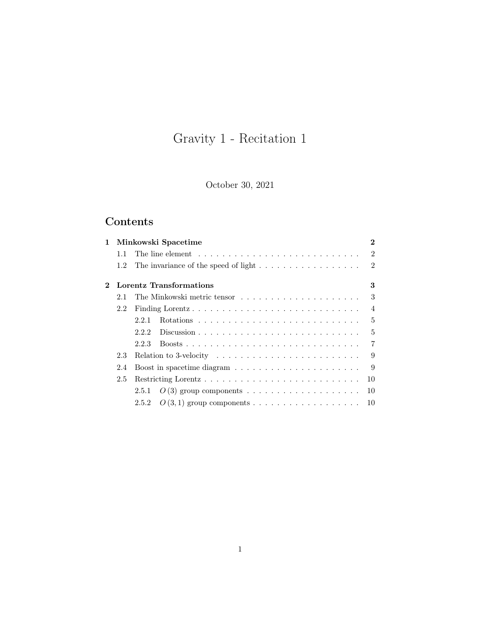# Gravity 1 - Recitation 1

October 30, 2021

# Contents

| $\mathbf{1}^-$ |     | Minkowski Spacetime                                                                     | $\bf{2}$       |
|----------------|-----|-----------------------------------------------------------------------------------------|----------------|
|                | 11  |                                                                                         | $\mathfrak{D}$ |
|                | 1.2 | The invariance of the speed of light $\dots \dots \dots \dots \dots \dots$              | $\overline{2}$ |
| $2^{\circ}$    |     | Lorentz Transformations                                                                 | 3              |
|                | 2.1 |                                                                                         | 3              |
|                | 2.2 |                                                                                         | $\overline{4}$ |
|                |     | 2.2.1                                                                                   | $\overline{5}$ |
|                |     | 222                                                                                     | 5              |
|                |     | 2.2.3                                                                                   | 7              |
|                | 2.3 | Relation to 3-velocity $\ldots \ldots \ldots \ldots \ldots \ldots \ldots \ldots \ldots$ |                |
|                | 2.4 |                                                                                         | 9              |
|                | 2.5 | 10                                                                                      |                |
|                |     |                                                                                         | 10             |
|                |     | $O(3,1)$ group components<br>2.5.2                                                      | 10             |
|                |     |                                                                                         |                |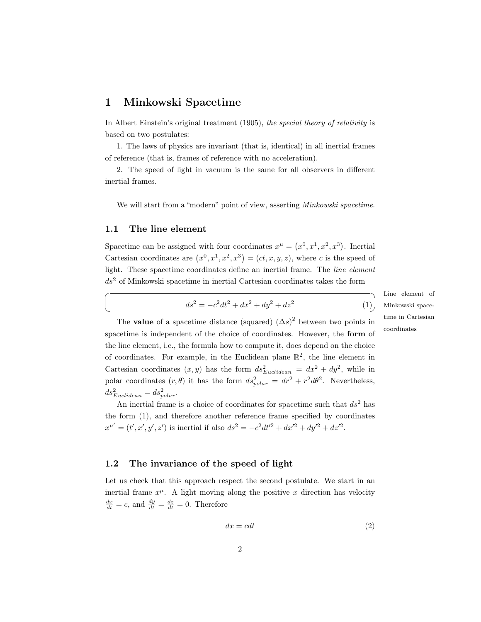# <span id="page-1-0"></span>1 Minkowski Spacetime

In Albert Einstein's original treatment (1905), the special theory of relativity is based on two postulates:

1. The laws of physics are invariant (that is, identical) in all inertial frames of reference (that is, frames of reference with no acceleration).

2. The speed of light in vacuum is the same for all observers in different inertial frames.

We will start from a "modern" point of view, asserting *Minkowski spacetime*.

#### <span id="page-1-1"></span>1.1 The line element

 $\overline{a}$ 

 $\searrow$ 

Spacetime can be assigned with four coordinates  $x^{\mu} = (x^0, x^1, x^2, x^3)$ . Inertial Cartesian coordinates are  $(x^0, x^1, x^2, x^3) = (ct, x, y, z)$ , where c is the speed of light. These spacetime coordinates define an inertial frame. The line element  $ds<sup>2</sup>$  of Minkowski spacetime in inertial Cartesian coordinates takes the form

<span id="page-1-3"></span>
$$
ds^{2} = -c^{2}dt^{2} + dx^{2} + dy^{2} + dz^{2}
$$
 (1)

Line element of Minkowski spacetime in Cartesian coordinates

(1)

The **value** of a spacetime distance (squared)  $(\Delta s)^2$  between two points in spacetime is independent of the choice of coordinates. However, the form of the line element, i.e., the formula how to compute it, does depend on the choice of coordinates. For example, in the Euclidean plane  $\mathbb{R}^2$ , the line element in Cartesian coordinates  $(x, y)$  has the form  $ds_{Euclidean}^2 = dx^2 + dy^2$ , while in polar coordinates  $(r, \theta)$  it has the form  $ds_{polar}^2 = dr^2 + r^2 d\theta^2$ . Nevertheless,  $ds_{Euclidean}^2 = ds_{polar}^2$ .

An inertial frame is a choice of coordinates for spacetime such that  $ds^2$  has the form [\(1\)](#page-1-3), and therefore another reference frame specified by coordinates  $x^{\mu'} = (t', x', y', z')$  is inertial if also  $ds^2 = -c^2 dt'^2 + dx'^2 + dy'^2 + dz'^2$ .

# <span id="page-1-2"></span>1.2 The invariance of the speed of light

Let us check that this approach respect the second postulate. We start in an inertial frame  $x^{\mu}$ . A light moving along the positive x direction has velocity  $\frac{dx}{dt} = c$ , and  $\frac{dy}{dt} = \frac{dz}{dt} = 0$ . Therefore

<span id="page-1-4"></span>
$$
dx = cdt \tag{2}
$$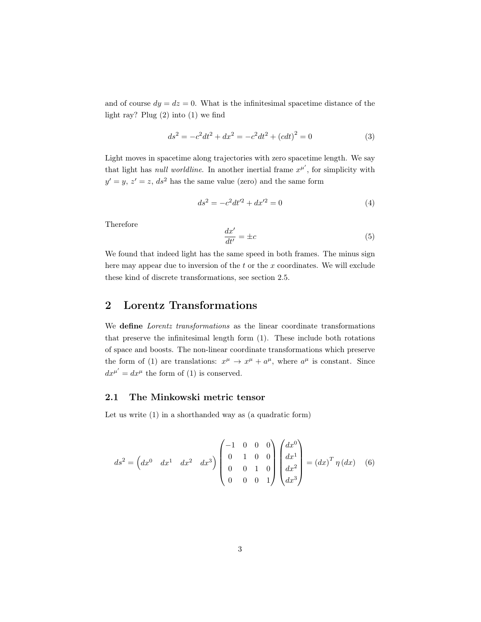and of course  $dy = dz = 0$ . What is the infinitesimal spacetime distance of the light ray? Plug [\(2\)](#page-1-4) into [\(1\)](#page-1-3) we find

$$
ds^{2} = -c^{2}dt^{2} + dx^{2} = -c^{2}dt^{2} + (cdt)^{2} = 0
$$
\n(3)

Light moves in spacetime along trajectories with zero spacetime length. We say that light has *null worldline*. In another inertial frame  $x^{\mu'}$ , for simplicity with  $y' = y, z' = z, ds^2$  has the same value (zero) and the same form

$$
ds^2 = -c^2 dt'^2 + dx'^2 = 0
$$
\n(4)

Therefore

$$
\frac{dx'}{dt'} = \pm c \tag{5}
$$

We found that indeed light has the same speed in both frames. The minus sign here may appear due to inversion of the  $t$  or the  $x$  coordinates. We will exclude these kind of discrete transformations, see section 2.5.

# <span id="page-2-0"></span>2 Lorentz Transformations

We define Lorentz transformations as the linear coordinate transformations that preserve the infinitesimal length form [\(1\)](#page-1-3). These include both rotations of space and boosts. The non-linear coordinate transformations which preserve the form of [\(1\)](#page-1-3) are translations:  $x^{\mu} \to x^{\mu} + a^{\mu}$ , where  $a^{\mu}$  is constant. Since  $dx^{\mu'} = dx^{\mu}$  the form of [\(1\)](#page-1-3) is conserved.

#### <span id="page-2-1"></span>2.1 The Minkowski metric tensor

Let us write [\(1\)](#page-1-3) in a shorthanded way as (a quadratic form)

<span id="page-2-2"></span>
$$
ds^{2} = \begin{pmatrix} dx^{0} & dx^{1} & dx^{2} & dx^{3} \end{pmatrix} \begin{pmatrix} -1 & 0 & 0 & 0 \\ 0 & 1 & 0 & 0 \\ 0 & 0 & 1 & 0 \\ 0 & 0 & 0 & 1 \end{pmatrix} \begin{pmatrix} dx^{0} \\ dx^{1} \\ dx^{2} \\ dx^{3} \end{pmatrix} = (dx)^{T} \eta \left( dx \right) \quad (6)
$$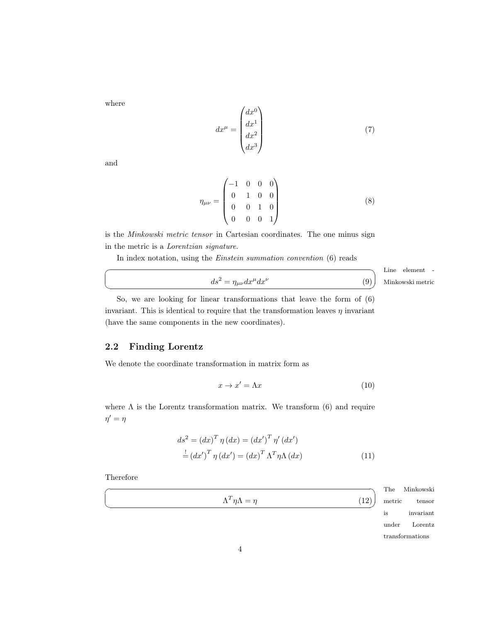where

$$
dx^{\mu} = \begin{pmatrix} dx^0 \\ dx^1 \\ dx^2 \\ dx^3 \end{pmatrix} \tag{7}
$$

and

☛

 $\searrow$ 

$$
\eta_{\mu\nu} = \begin{pmatrix}\n-1 & 0 & 0 & 0 \\
0 & 1 & 0 & 0 \\
0 & 0 & 1 & 0 \\
0 & 0 & 0 & 1\n\end{pmatrix}
$$
\n(8)

is the Minkowski metric tensor in Cartesian coordinates. The one minus sign in the metric is a Lorentzian signature.

In index notation, using the Einstein summation convention [\(6\)](#page-2-2) reads

$$
ds^{2} = \eta_{\mu\nu} dx^{\mu} dx^{\nu}
$$
 (9) Minkowski me

Line element tric

So, we are looking for linear transformations that leave the form of [\(6\)](#page-2-2) invariant. This is identical to require that the transformation leaves  $\eta$  invariant (have the same components in the new coordinates).

# <span id="page-3-0"></span>2.2 Finding Lorentz

We denote the coordinate transformation in matrix form as

<span id="page-3-1"></span>
$$
x \to x' = \Lambda x \tag{10}
$$

where  $\Lambda$  is the Lorentz transformation matrix. We transform [\(6\)](#page-2-2) and require  $\eta' = \eta$ 

$$
ds^{2} = (dx)^{T} \eta (dx) = (dx')^{T} \eta' (dx')
$$
  

$$
\stackrel{!}{=} (dx')^{T} \eta (dx') = (dx)^{T} \Lambda^{T} \eta \Lambda (dx)
$$
 (11)

Therefore

☛

 $\searrow$ 

<span id="page-3-2"></span> $\Lambda^T \eta \Lambda = \eta$  (12)

The **Minkowski** metric tensor is invariant under Lorentz transformations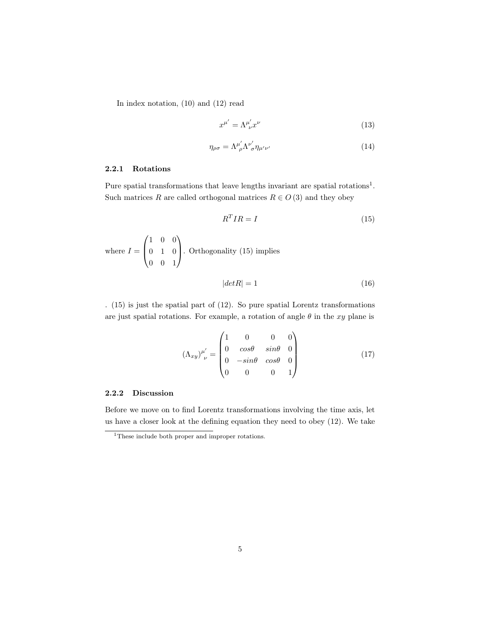In index notation, [\(10\)](#page-3-1) and [\(12\)](#page-3-2) read

$$
x^{\mu'} = \Lambda^{\mu'}_{\ \nu} x^{\nu} \tag{13}
$$

<span id="page-4-4"></span>
$$
\eta_{\rho\sigma} = \Lambda^{\mu'}_{\rho} \Lambda^{\nu'}_{\sigma} \eta_{\mu'\nu'} \tag{14}
$$

# <span id="page-4-0"></span>2.2.1 Rotations

Pure spatial transformations that leave lengths invariant are spatial rotations<sup>[1](#page-4-2)</sup>. Such matrices R are called orthogonal matrices  $R \in O(3)$  and they obey

<span id="page-4-3"></span>
$$
R^TIR = I \tag{15}
$$

where 
$$
I = \begin{pmatrix} 1 & 0 & 0 \\ 0 & 1 & 0 \\ 0 & 0 & 1 \end{pmatrix}
$$
. Orthogonality (15) implies

$$
|det R| = 1 \tag{16}
$$

. [\(15\)](#page-4-3) is just the spatial part of [\(12\)](#page-3-2). So pure spatial Lorentz transformations are just spatial rotations. For example, a rotation of angle  $\theta$  in the xy plane is

$$
(\Lambda_{xy})^{\mu'}_{\ \nu} = \begin{pmatrix} 1 & 0 & 0 & 0 \\ 0 & cos\theta & sin\theta & 0 \\ 0 & -sin\theta & cos\theta & 0 \\ 0 & 0 & 0 & 1 \end{pmatrix}
$$
 (17)

# <span id="page-4-1"></span>2.2.2 Discussion

Before we move on to find Lorentz transformations involving the time axis, let us have a closer look at the defining equation they need to obey [\(12\)](#page-3-2). We take

<span id="page-4-2"></span><sup>&</sup>lt;sup>1</sup>These include both proper and improper rotations.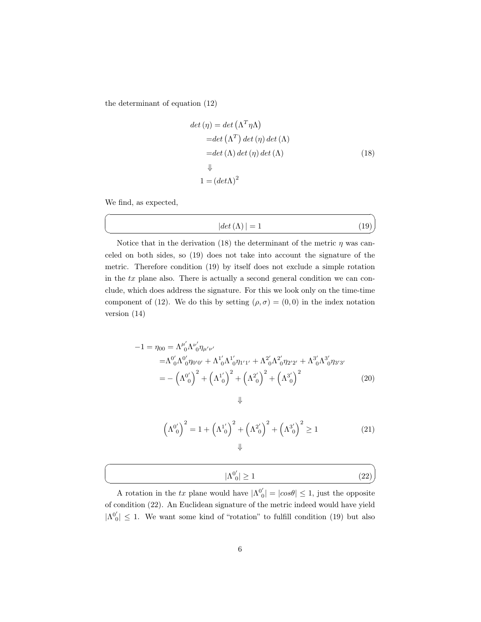the determinant of equation [\(12\)](#page-3-2)

$$
det (\eta) = det (\Lambda^T \eta \Lambda)
$$
  
= det (\Lambda^T) det (\eta) det (\Lambda)  
= det (\Lambda) det (\eta) det (\Lambda) (18)  
\$\downarrow\$  

$$
1 = (det \Lambda)^2
$$

We find, as expected,

☛

 $\searrow$ 

<span id="page-5-1"></span>
$$
|det(\Lambda)| = 1 \tag{19}
$$

<span id="page-5-0"></span>✟

Notice that in the derivation [\(18\)](#page-5-0) the determinant of the metric  $\eta$  was canceled on both sides, so [\(19\)](#page-5-1) does not take into account the signature of the metric. Therefore condition [\(19\)](#page-5-1) by itself does not exclude a simple rotation in the tx plane also. There is actually a second general condition we can conclude, which does address the signature. For this we look only on the time-time component of [\(12\)](#page-3-2). We do this by setting  $(\rho, \sigma) = (0, 0)$  in the index notation version [\(14\)](#page-4-4)

$$
-1 = \eta_{00} = \Lambda^{\mu'}_{0} \Lambda^{\nu'}_{0} \eta_{\mu'\nu'}
$$
  
\n
$$
= \Lambda^{0'}_{0} \Lambda^{0'}_{0} \eta_{0'0'} + \Lambda^{1'}_{0} \Lambda^{1'}_{0} \eta_{1'1'} + \Lambda^{2'}_{0} \Lambda^{2'}_{0} \eta_{2'2'} + \Lambda^{3'}_{0} \Lambda^{3'}_{0} \eta_{3'3'}
$$
  
\n
$$
= -(\Lambda^{0'}_{0})^{2} +(\Lambda^{1'}_{0})^{2} +(\Lambda^{2'}_{0})^{2} +(\Lambda^{3'}_{0})^{2}
$$
\n
$$
\downarrow
$$
\n(20)

<span id="page-5-2"></span>
$$
\left(\Lambda^{0'}_{0}\right)^{2} = 1 + \left(\Lambda^{1'}_{0}\right)^{2} + \left(\Lambda^{2'}_{0}\right)^{2} + \left(\Lambda^{3'}_{0}\right)^{2} \ge 1
$$
\n
$$
\downarrow \tag{21}
$$

|  | --<br>-- |
|--|----------|
|  |          |

A rotation in the tx plane would have  $|\Lambda^{0'}_{0}| = |cos\theta| \leq 1$ , just the opposite of condition [\(22\)](#page-5-2). An Euclidean signature of the metric indeed would have yield  $|\Lambda^{0'}_{0}| \leq 1$ . We want some kind of "rotation" to fulfill condition [\(19\)](#page-5-1) but also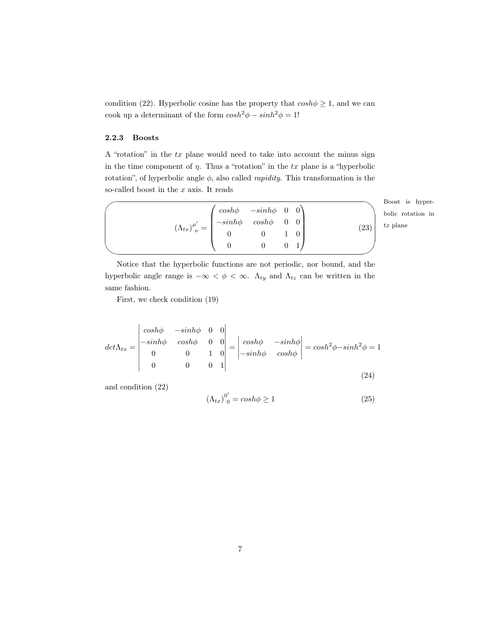condition [\(22\)](#page-5-2). Hyperbolic cosine has the property that  $cosh \phi \geq 1$ , and we can cook up a determinant of the form  $cosh^2\phi - sinh^2\phi = 1!$ 

### <span id="page-6-0"></span>2.2.3 Boosts

A "rotation" in the tx plane would need to take into account the minus sign in the time component of  $\eta$ . Thus a "rotation" in the tx plane is a "hyperbolic rotation", of hyperbolic angle  $\phi$ , also called *rapidity*. This transformation is the so-called boost in the x axis. It reads

| $(\Lambda_{tx})^{\mu'}_{\ \nu} = \begin{pmatrix} cosh\phi & -sinh\phi & 0 & 0 \ -sinh\phi & cosh\phi & 0 & 0 \ 0 & 0 & 1 & 0 \end{pmatrix}$ |  |  |           |
|---------------------------------------------------------------------------------------------------------------------------------------------|--|--|-----------|
|                                                                                                                                             |  |  |           |
|                                                                                                                                             |  |  | $^{'}23)$ |
|                                                                                                                                             |  |  |           |

✜ Boost is hyperbolic rotation in  $tx$  plane

Notice that the hyperbolic functions are not periodic, nor bound, and the hyperbolic angle range is  $-\infty < \phi < \infty$ .  $\Lambda_{ty}$  and  $\Lambda_{tz}$  can be written in the same fashion.

First, we check condition [\(19\)](#page-5-1)

$$
det \Lambda_{tx} = \begin{vmatrix} \cosh \phi & -\sinh \phi & 0 & 0 \\ -\sinh \phi & \cosh \phi & 0 & 0 \\ 0 & 0 & 1 & 0 \\ 0 & 0 & 0 & 1 \end{vmatrix} = \begin{vmatrix} \cosh \phi & -\sinh \phi \\ -\sinh \phi & \cosh \phi \end{vmatrix} = \cosh^2 \phi - \sinh^2 \phi = 1
$$
\n(24)

and condition [\(22\)](#page-5-2)

$$
\left(\Lambda_{tx}\right)^{0'}_{0} = \cosh\phi \ge 1\tag{25}
$$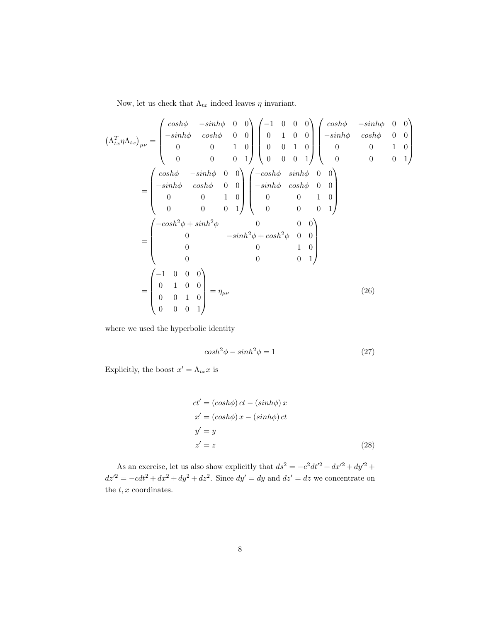Now, let us check that  $\Lambda_{tx}$  indeed leaves  $\eta$  invariant.

$$
\left(\Lambda_{tx}^T \eta \Lambda_{tx}\right)_{\mu\nu} = \begin{pmatrix}\n\cosh\phi & -\sinh\phi & 0 & 0 \\
-\sinh\phi & \cosh\phi & 0 & 0 \\
0 & 0 & 1 & 0 \\
0 & 0 & 0 & 1\n\end{pmatrix}\begin{pmatrix}\n-1 & 0 & 0 & 0 \\
0 & 1 & 0 & 0 \\
0 & 0 & 1 & 0 \\
0 & 0 & 0 & 1\n\end{pmatrix}\begin{pmatrix}\n\cosh\phi & -\sinh\phi & 0 & 0 \\
-\sinh\phi & \cosh\phi & 0 & 0 \\
0 & 0 & 0 & 1 \\
0 & 0 & 0 & 1\n\end{pmatrix}
$$
\n
$$
= \begin{pmatrix}\n\cosh\phi & -\sinh\phi & 0 & 0 \\
-\sinh\phi & \cosh\phi & 0 & 0 \\
0 & 0 & 1 & 0 \\
0 & 0 & 0 & 1\n\end{pmatrix}\begin{pmatrix}\n-\cosh\phi & \sinh\phi & 0 & 0 \\
-\sinh\phi & \cosh\phi & 0 & 0 \\
0 & 0 & 1 & 0 \\
0 & 0 & 0 & 1\n\end{pmatrix}
$$
\n
$$
= \begin{pmatrix}\n-\cosh^2\phi + \sinh^2\phi & 0 & 0 & 0 \\
0 & -\sinh^2\phi + \cosh^2\phi & 0 & 0 \\
0 & 0 & 0 & 1 & 0 \\
0 & 0 & 0 & 1\n\end{pmatrix}
$$
\n
$$
= \begin{pmatrix}\n-1 & 0 & 0 & 0 \\
0 & 1 & 0 & 0 \\
0 & 0 & 1 & 0 \\
0 & 0 & 0 & 1\n\end{pmatrix} = \eta_{\mu\nu}
$$
\n(26)

where we used the hyperbolic identity

$$
\cosh^2 \phi - \sinh^2 \phi = 1\tag{27}
$$

Explicitly, the boost  $x' = \Lambda_{tx} x$  is

<span id="page-7-0"></span>
$$
ct' = (cosh\phi) ct - (sinh\phi) x
$$
  
\n
$$
x' = (cosh\phi) x - (sinh\phi) ct
$$
  
\n
$$
y' = y
$$
  
\n
$$
z' = z
$$
\n(28)

As an exercise, let us also show explicitly that  $ds^2 = -c^2 dt'^2 + dx'^2 + dy'^2 +$  $dz'^2 = -cdt^2 + dx^2 + dy^2 + dz^2$ . Since  $dy' = dy$  and  $dz' = dz$  we concentrate on the  $t, x$  coordinates.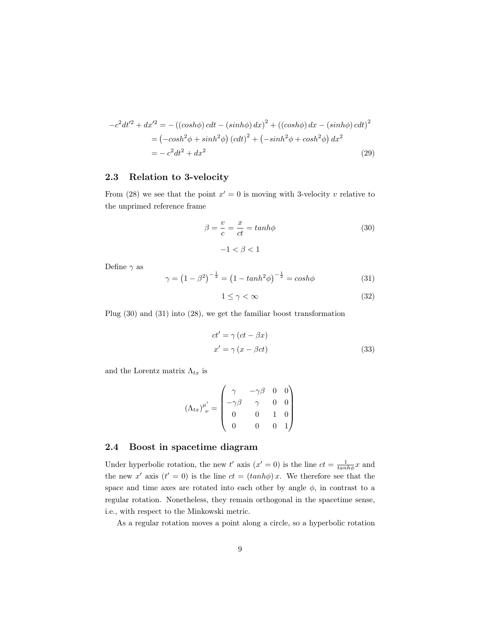$$
-c^2 dt'^2 + dx'^2 = -((\cosh\phi)\,cdt - (\sinh\phi)\,dx)^2 + ((\cosh\phi)\,dx - (\sinh\phi)\,cdt)^2
$$
  
= 
$$
(-\cosh^2\phi + \sinh^2\phi) (\cot^2 t) + (-\sinh^2\phi + \cosh^2\phi) dx^2
$$
  
= 
$$
-c^2 dt^2 + dx^2
$$
 (29)

## <span id="page-8-0"></span>2.3 Relation to 3-velocity

From [\(28\)](#page-7-0) we see that the point  $x' = 0$  is moving with 3-velocity v relative to the unprimed reference frame

<span id="page-8-2"></span>
$$
\beta = \frac{v}{c} = \frac{x}{ct} = \tanh\phi \tag{30}
$$

$$
-1 < \beta < 1
$$

Define  $\gamma$  as

<span id="page-8-3"></span>
$$
\gamma = (1 - \beta^2)^{-\frac{1}{2}} = (1 - \tanh^2 \phi)^{-\frac{1}{2}} = \cosh \phi \tag{31}
$$

$$
1 \le \gamma < \infty \tag{32}
$$

Plug [\(30\)](#page-8-2) and [\(31\)](#page-8-3) into [\(28\)](#page-7-0), we get the familiar boost transformation

$$
ct' = \gamma (ct - \beta x)
$$
  
\n
$$
x' = \gamma (x - \beta ct)
$$
\n(33)

and the Lorentz matrix  $\Lambda_{tx}$  is

$$
(\Lambda_{tx})^{\mu'}_{\ \nu} = \begin{pmatrix} \gamma & -\gamma\beta & 0 & 0 \\ -\gamma\beta & \gamma & 0 & 0 \\ 0 & 0 & 1 & 0 \\ 0 & 0 & 0 & 1 \end{pmatrix}
$$

### <span id="page-8-1"></span>2.4 Boost in spacetime diagram

Under hyperbolic rotation, the new  $t'$  axis  $(x' = 0)$  is the line  $ct = \frac{1}{\tanh{\phi}}x$  and the new x' axis  $(t' = 0)$  is the line  $ct = (tanh\phi)x$ . We therefore see that the space and time axes are rotated into each other by angle  $\phi$ , in contrast to a regular rotation. Nonetheless, they remain orthogonal in the spacetime sense, i.e., with respect to the Minkowski metric.

As a regular rotation moves a point along a circle, so a hyperbolic rotation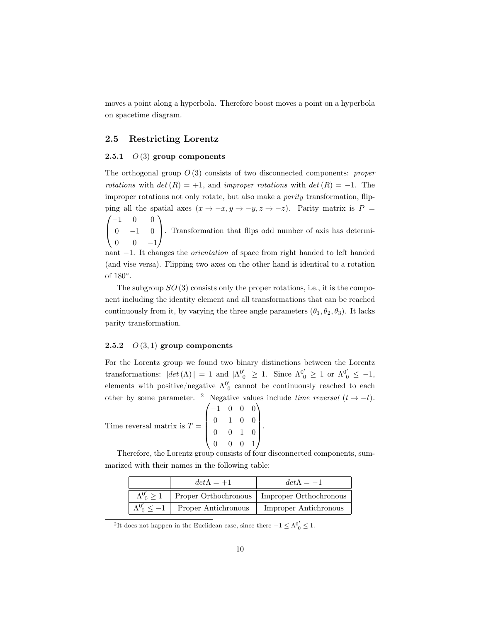moves a point along a hyperbola. Therefore boost moves a point on a hyperbola on spacetime diagram.

#### <span id="page-9-0"></span>2.5 Restricting Lorentz

#### <span id="page-9-1"></span>2.5.1  $O(3)$  group components

The orthogonal group  $O(3)$  consists of two disconnected components: *proper* rotations with  $det(R) = +1$ , and improper rotations with  $det(R) = -1$ . The improper rotations not only rotate, but also make a *parity* transformation, flipping all the spatial axes  $(x \to -x, y \to -y, z \to -z)$ . Parity matrix is P =  $\sqrt{ }$  $-1$  0 0  $\setminus$ 

 $\overline{ }$  $0 \t -1 \t 0$  $0 \t 0 \t -1$ . Transformation that flips odd number of axis has determi-

nant −1. It changes the *orientation* of space from right handed to left handed (and vise versa). Flipping two axes on the other hand is identical to a rotation of  $180^\circ$ .

The subgroup  $SO(3)$  consists only the proper rotations, i.e., it is the component including the identity element and all transformations that can be reached continuously from it, by varying the three angle parameters  $(\theta_1, \theta_2, \theta_3)$ . It lacks parity transformation.

#### <span id="page-9-2"></span>2.5.2  $O(3,1)$  group components

For the Lorentz group we found two binary distinctions between the Lorentz transformations:  $|det(\Lambda)| = 1$  and  $|\Lambda^{0'}_0| \geq 1$ . Since  $\Lambda^{0'}_0 \geq 1$  or  $\Lambda^{0'}_0 \leq -1$ , elements with positive/negative  $\Lambda_0^{0'}$  cannot be continuously reached to each other by some parameter. <sup>[2](#page-9-3)</sup> Negative values include time reversal  $(t \rightarrow -t)$ .

Time reversal matrix is  $T =$  $\sqrt{ }$  $\overline{\phantom{a}}$ −1 0 0 0 0 1 0 0 0 0 1 0 0 0 0 1  $\setminus$  $\left| \cdot \right|$ 

Therefore, the Lorentz group consists of four disconnected components, summarized with their names in the following table:

| $det\Lambda = +1$                            | $det \Lambda = -1$                                                    |
|----------------------------------------------|-----------------------------------------------------------------------|
|                                              | $\Lambda_0^{0'} \geq 1$ Proper Orthochronous   Improper Orthochronous |
| $\Lambda_0^{0'} \leq -1$ Proper Antichronous | Improper Antichronous                                                 |

<span id="page-9-3"></span><sup>2</sup>It does not happen in the Euclidean case, since there  $-1 \leq \Lambda^{0'}_{0} \leq 1$ .